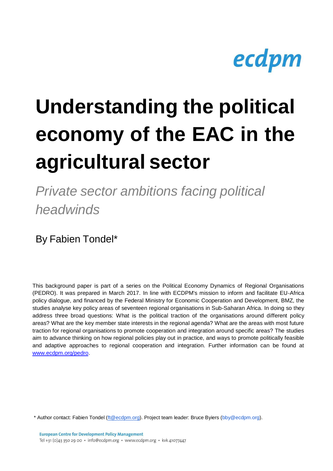

# **Understanding the political economy of the EAC in the agricultural sector**

*Private sector ambitions facing political headwinds*

By Fabien Tondel\*

This background paper is part of a series on the Political Economy Dynamics of Regional Organisations (PEDRO). It was prepared in March 2017. In line with ECDPM's mission to inform and facilitate EU-Africa policy dialogue, and financed by the Federal Ministry for Economic Cooperation and Development, BMZ, the studies analyse key policy areas of seventeen regional organisations in Sub-Saharan Africa. In doing so they address three broad questions: What is the political traction of the organisations around different policy areas? What are the key member state interests in the regional agenda? What are the areas with most future traction for regional organisations to promote cooperation and integration around specific areas? The studies aim to advance thinking on how regional policies play out in practice, and ways to promote politically feasible and adaptive approaches to regional cooperation and integration. Further information can be found at [www.ecdpm.org/pedro.](http://www.ecdpm.org/pedro)

\* Author contact: Fabien Tondel [\(ft@ecdpm.org\)](mailto:ft@ecdpm.org). Project team leader: Bruce Byiers (bby@ecdpm.org).

**European Centre for Development Policy Management** Tel +31 (0)43 350 29 00 · info@ecdpm.org · www.ecdpm.org · kvk 41077447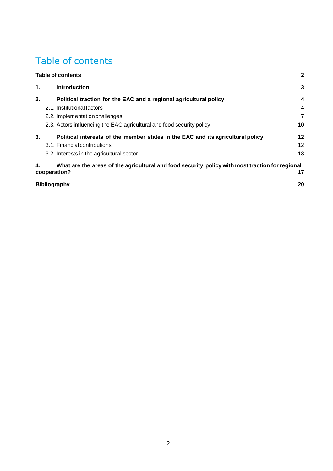# <span id="page-1-0"></span>Table of contents

| <b>Table of contents</b> |                                                                                                                 |                |
|--------------------------|-----------------------------------------------------------------------------------------------------------------|----------------|
| 1.                       | <b>Introduction</b>                                                                                             | 3              |
| 2.                       | Political traction for the EAC and a regional agricultural policy                                               | 4              |
|                          | 2.1. Institutional factors                                                                                      | 4              |
|                          | 2.2. Implementation challenges                                                                                  | $\overline{7}$ |
|                          | 2.3. Actors influencing the EAC agricultural and food security policy                                           | 10             |
| 3.                       | Political interests of the member states in the EAC and its agricultural policy                                 | 12             |
|                          | 3.1. Financial contributions                                                                                    | 12             |
|                          | 3.2. Interests in the agricultural sector                                                                       | 13             |
| 4.                       | What are the areas of the agricultural and food security policy with most traction for regional<br>cooperation? | 17             |
|                          | <b>Bibliography</b>                                                                                             | 20             |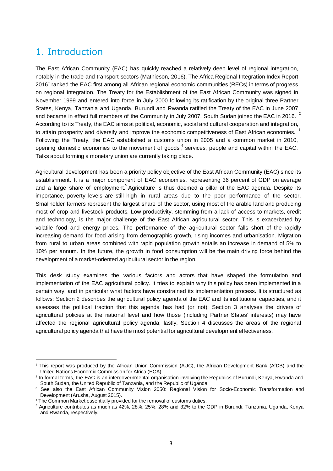# <span id="page-2-0"></span>1. Introduction

2016<sup>1</sup> ranked the EAC first among all African regional economic communities (RECs) in terms of progress 2 3 opening domestic economies to the movement of goods<sup>4</sup>, services, people and capital within the EAC. The East African Community (EAC) has quickly reached a relatively deep level of regional integration, notably in the trade and transport sectors (Mathieson, 2016). The Africa Regional Integration Index Report on regional integration. The Treaty for the Establishment of the East African Community was signed in November 1999 and entered into force in July 2000 following its ratification by the original three Partner States, Kenya, Tanzania and Uganda. Burundi and Rwanda ratified the Treaty of the EAC in June 2007 and became in effect full members of the Community in July 2007. South Sudan joined the EAC in 2016. According to its Treaty, the EAC aims at political, economic, social and cultural cooperation and integration, to attain prosperity and diversify and improve the economic competitiveness of East African economies. Following the Treaty, the EAC established a customs union in 2005 and a common market in 2010, Talks about forming a monetary union are currently taking place.

and a large share of employment.<sup>5</sup> Agriculture is thus deemed a pillar of the EAC agenda. Despite its Agricultural development has been a priority policy objective of the East African Community (EAC) since its establishment. It is a major component of EAC economies, representing 36 percent of GDP on average importance, poverty levels are still high in rural areas due to the poor performance of the sector. Smallholder farmers represent the largest share of the sector, using most of the arable land and producing most of crop and livestock products. Low productivity, stemming from a lack of access to markets, credit and technology, is the major challenge of the East African agricultural sector. This is exacerbated by volatile food and energy prices. The performance of the agricultural sector falls short of the rapidly increasing demand for food arising from demographic growth, rising incomes and urbanisation. Migration from rural to urban areas combined with rapid population growth entails an increase in demand of 5% to 10% per annum. In the future, the growth in food consumption will be the main driving force behind the development of a market-oriented agricultural sector in the region.

This desk study examines the various factors and actors that have shaped the formulation and implementation of the EAC agricultural policy. It tries to explain why this policy has been implemented in a certain way, and in particular what factors have constrained its implementation process. It is structured as follows: Section 2 describes the agricultural policy agenda of the EAC and its institutional capacities, and it assesses the political traction that this agenda has had (or not); Section 3 analyses the drivers of agricultural policies at the national level and how those (including Partner States' interests) may have affected the regional agricultural policy agenda; lastly, Section 4 discusses the areas of the regional agricultural policy agenda that have the most potential for agricultural development effectiveness.

<sup>1</sup>This report was produced by the African Union Commission (AUC), the African Development Bank (AfDB) and the United Nations Economic Commission for Africa (ECA).

<sup>&</sup>lt;sup>2</sup> In formal terms, the EAC is an intergovernmental organisation involving the Republics of Burundi, Kenya, Rwanda and South Sudan, the United Republic of Tanzania, and the Republic of Uganda.

<sup>&</sup>lt;sup>3</sup> See also the East African Community Vision 2050: Regional Vision for Socio-Economic Transformation and Development (Arusha, August 2015).

<sup>4</sup> The Common Market essentially provided for the removal of customs duties.

<sup>&</sup>lt;sup>5</sup> Agriculture contributes as much as 42%, 28%, 25%, 28% and 32% to the GDP in Burundi, Tanzania, Uganda, Kenya and Rwanda, respectively.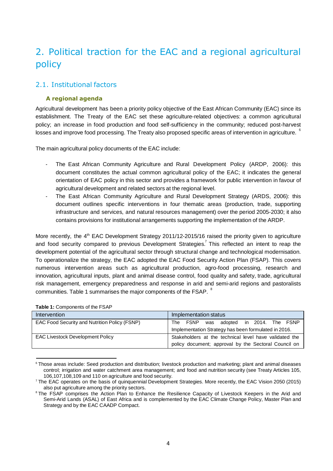# <span id="page-3-0"></span>2. Political traction for the EAC and a regional agricultural policy

## <span id="page-3-1"></span>2.1. Institutional factors

### **A regional agenda**

losses and improve food processing. The Treaty also proposed specific areas of intervention in agriculture.  $\degree$ Agricultural development has been a priority policy objective of the East African Community (EAC) since its establishment. The Treaty of the EAC set these agriculture-related objectives: a common agricultural policy; an increase in food production and food self-sufficiency in the community; reduced post-harvest

The main agricultural policy documents of the EAC include:

- The East African Community Agriculture and Rural Development Policy (ARDP, 2006): this document constitutes the actual common agricultural policy of the EAC; it indicates the general orientation of EAC policy in this sector and provides a framework for public intervention in favour of agricultural development and related sectorsat the regional level.
- The East African Community Agriculture and Rural Development Strategy (ARDS, 2006): this document outlines specific interventions in four thematic areas (production, trade, supporting infrastructure and services, and natural resources management) over the period 2005-2030; it also contains provisions for institutional arrangements supporting the implementation of the ARDP.

and food security compared to previous Development Strategies.<sup>7</sup> This reflected an intent to reap the communities. Table 1 summarises the major components of the FSAP.  $^8$ More recently, the 4<sup>th</sup> EAC Development Strategy 2011/12-2015/16 raised the priority given to agriculture development potential of the agricultural sector through structural change and technological modernisation. To operationalize the strategy, the EAC adopted the EAC Food Security Action Plan (FSAP). This covers numerous intervention areas such as agricultural production, agro-food processing, research and innovation, agricultural inputs, plant and animal disease control, food quality and safety, trade, agricultural risk management, emergency preparedness and response in arid and semi-arid regions and pastoralists

| Intervention                                  | Implementation status                                                                                          |
|-----------------------------------------------|----------------------------------------------------------------------------------------------------------------|
| EAC Food Security and Nutrition Policy (FSNP) | The FSNP<br>was adopted in 2014. The FSNP<br>Implementation Strategy has been formulated in 2016.              |
| <b>EAC Livestock Development Policy</b>       | Stakeholders at the technical level have validated the<br>policy document; approval by the Sectoral Council on |

**Table 1:** Components of the FSAP

<sup>&</sup>lt;sup>6</sup> Those areas include: Seed production and distribution; livestock production and marketing; plant and animal diseases control; irrigation and water catchment area management; and food and nutrition security (see Treaty Articles 105, 106,107,108,109 and 110 on agriculture and food security.

<sup>&</sup>lt;sup>7</sup> The EAC operates on the basis of quinquennial Development Strategies. More recently, the EAC Vision 2050 (2015) also put agriculture among the priority sectors.

<sup>&</sup>lt;sup>8</sup> The FSAP comprises the Action Plan to Enhance the Resilience Capacity of Livestock Keepers in the Arid and Semi-Arid Lands (ASAL) of East Africa and is complemented by the EAC Climate Change Policy, Master Plan and Strategy and by the EAC CAADP Compact.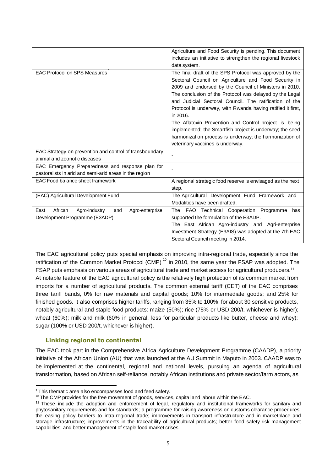|                                                                                                            | Agriculture and Food Security is pending. This document<br>includes an initiative to strengthen the regional livestock<br>data system.                                                                                                                                                                                                                                                                                                                                                                                                                                                        |
|------------------------------------------------------------------------------------------------------------|-----------------------------------------------------------------------------------------------------------------------------------------------------------------------------------------------------------------------------------------------------------------------------------------------------------------------------------------------------------------------------------------------------------------------------------------------------------------------------------------------------------------------------------------------------------------------------------------------|
| <b>EAC Protocol on SPS Measures</b>                                                                        | The final draft of the SPS Protocol was approved by the<br>Sectoral Council on Agriculture and Food Security in<br>2009 and endorsed by the Council of Ministers in 2010.<br>The conclusion of the Protocol was delayed by the Legal<br>and Judicial Sectoral Council. The ratification of the<br>Protocol is underway, with Rwanda having ratified it first,<br>in 2016.<br>The Aflatoxin Prevention and Control project is being<br>implemented; the Smartfish project is underway; the seed<br>harmonization process is underway; the harmonization of<br>veterinary vaccines is underway. |
| EAC Strategy on prevention and control of transboundary<br>animal and zoonotic diseases                    |                                                                                                                                                                                                                                                                                                                                                                                                                                                                                                                                                                                               |
| EAC Emergency Preparedness and response plan for<br>pastoralists in arid and semi-arid areas in the region |                                                                                                                                                                                                                                                                                                                                                                                                                                                                                                                                                                                               |
| EAC Food balance sheet framework                                                                           | A regional strategic food reserve is envisaged as the next<br>step.                                                                                                                                                                                                                                                                                                                                                                                                                                                                                                                           |
| (EAC) Agricultural Development Fund                                                                        | The Agricultural Development Fund Framework and<br>Modalities have been drafted.                                                                                                                                                                                                                                                                                                                                                                                                                                                                                                              |
| African<br>East<br>Agro-industry<br>and<br>Agro-enterprise<br>Development Programme (E3ADP)                | FAO Technical Cooperation Programme<br>The<br>has<br>supported the formulation of the E3ADP.<br>The East African Agro-industry and Agri-enterprise<br>Investment Strategy (E3AIS) was adopted at the 7th EAC<br>Sectoral Council meeting in 2014.                                                                                                                                                                                                                                                                                                                                             |

ratification of the Common Market Protocol (CMP)<sup>10</sup> in 2010, the same year the FSAP was adopted. The The EAC agricultural policy puts special emphasis on improving intra-regional trade, especially since the FSAP puts emphasis on various areas of agricultural trade and market access for agricultural producers.<sup>11</sup> At notable feature of the EAC agricultural policy is the relatively high protection of its common market from imports for a number of agricultural products. The common external tariff (CET) of the EAC comprises three tariff bands, 0% for raw materials and capital goods; 10% for intermediate goods; and 25% for finished goods. It also comprises higher tariffs, ranging from 35% to 100%, for about 30 sensitive products, notably agricultural and staple food products: maize (50%); rice (75% or USD 200/t, whichever is higher); wheat (60%); milk and milk (60% in general, less for particular products like butter, cheese and whey); sugar (100% or USD 200/t, whichever is higher).

#### **Linking regional to continental**

The EAC took part in the Comprehensive Africa Agriculture Development Programme (CAADP), a priority initiative of the African Union (AU) that was launched at the AU Summit in Maputo in 2003. CAADP was to be implemented at the continental, regional and national levels, pursuing an agenda of agricultural transformation, based on African self-reliance, notably African institutions and private sector/farm actors, as

<sup>&</sup>lt;sup>9</sup> This thematic area also encompasses food and feed safety.

<sup>&</sup>lt;sup>10</sup> The CMP provides for the free movement of goods, services, capital and labour within the EAC.

<sup>&</sup>lt;sup>11</sup> These include the adoption and enforcement of legal, regulatory and institutional frameworks for sanitary and phytosanitary requirements and for standards; a programme for raising awareness on customs clearance procedures; the easing policy barriers to intra-regional trade; improvements in transport infrastructure and in marketplace and storage infrastructure; improvements in the traceability of agricultural products; better food safety risk management capabilities; and better management of staple food market crises.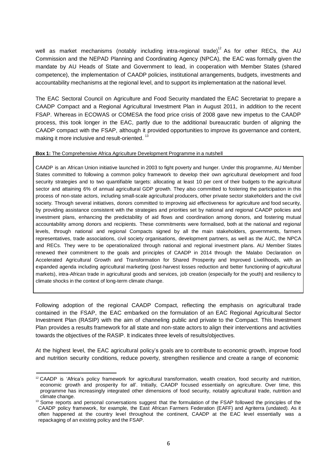well as market mechanisms (notably including intra-regional trade).<sup>12</sup> As for other RECs, the AU Commission and the NEPAD Planning and Coordinating Agency (NPCA), the EAC was formally given the mandate by AU Heads of State and Government to lead, in cooperation with Member States (shared competence), the implementation of CAADP policies, institutional arrangements, budgets, investments and accountability mechanisms at the regional level, and to support its implementation at the national level.

making it more inclusive and result-oriented.  $^{13}$ The EAC Sectoral Council on Agriculture and Food Security mandated the EAC Secretariat to prepare a CAADP Compact and a Regional Agricultural Investment Plan in August 2011, in addition to the recent FSAP. Whereas in ECOWAS or COMESA the food price crisis of 2008 gave new impetus to the CAADP process, this took longer in the EAC, partly due to the additional bureaucratic burden of aligning the CAADP compact with the FSAP, although it provided opportunities to improve its governance and content,

#### **Box 1:** The Comprehensive Africa Agriculture Development Programme in a nutshell

CAADP is an African Union initiative launched in 2003 to fight poverty and hunger. Under this programme, AU Member States committed to following a common policy framework to develop their own agricultural development and food security strategies and to two quantifiable targets: allocating at least 10 per cent of their budgets to the agricultural sector and attaining 6% of annual agricultural GDP growth. They also committed to fostering the participation in this process of non-state actors, including small-scale agricultural producers, other private sector stakeholders and the civil society. Through several initiatives, donors committed to improving aid effectiveness for agriculture and food security, by providing assistance consistent with the strategies and priorities set by national and regional CAADP policies and investment plans, enhancing the predictability of aid flows and coordination among donors, and fostering mutual accountability among donors and recipients. These commitments were formalised, both at the national and regional levels, through national and regional Compacts signed by all the main stakeholders, governments, farmers representatives, trade associations, civil society organisations, development partners, as well as the AUC, the NPCA and RECs. They were to be operationalized through national and regional investment plans. AU Member States renewed their commitment to the goals and principles of CAADP in 2014 through the Malabo Declaration on Accelerated Agricultural Growth and Transformation for Shared Prosperity and Improved Livelihoods, with an expanded agenda including agricultural marketing (post-harvest losses reduction and better functioning of agricultural markets), intra-African trade in agricultural goods and services, job creation (especially for the youth) and resiliency to climate shocks in the context of long-term climate change.

Following adoption of the regional CAADP Compact, reflecting the emphasis on agricultural trade contained in the FSAP, the EAC embarked on the formulation of an EAC Regional Agricultural Sector Investment Plan (RASIP) with the aim of channeling public and private to the Compact. This Investment Plan provides a results framework for all state and non-state actors to align their interventions and activities towards the objectives of the RASIP. It indicates three levels of results/objectives.

At the highest level, the EAC agricultural policy's goals are to contribute to economic growth, improve food and nutrition security conditions, reduce poverty, strengthen resilience and create a range of economic

<sup>&</sup>lt;sup>12</sup> CAADP is 'Africa's policy framework for agricultural transformation, wealth creation, food security and nutrition, economic growth and prosperity for all'. Initially, CAADP focused essentially on agriculture. Over time, this programme has increasingly integrated other dimensions of food security, notably agricultural trade, nutrition and climate change.

<sup>&</sup>lt;sup>13</sup> Some reports and personal conversations suggest that the formulation of the FSAP followed the principles of the CAADP policy framework, for example, the East African Farmers Federation (EAFF) and Agriterra (undated). As it often happened at the country level throughout the continent, CAADP at the EAC level essentially was a repackaging of an existing policy and the FSAP.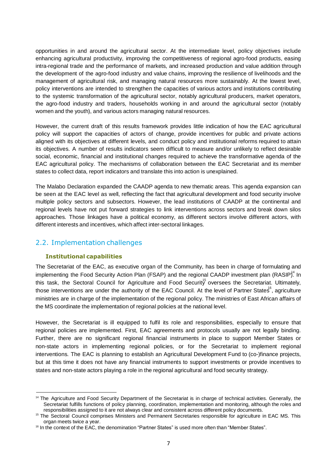opportunities in and around the agricultural sector. At the intermediate level, policy objectives include enhancing agricultural productivity, improving the competitiveness of regional agro-food products, easing intra-regional trade and the performance of markets, and increased production and value addition through the development of the agro-food industry and value chains, improving the resilience of livelihoods and the management of agricultural risk, and managing natural resources more sustainably. At the lowest level, policy interventions are intended to strengthen the capacities of various actors and institutions contributing to the systemic transformation of the agricultural sector, notably agricultural producers, market operators, the agro-food industry and traders, households working in and around the agricultural sector (notably women and the youth), and various actors managing natural resources.

However, the current draft of this results framework provides little indication of how the EAC agricultural policy will support the capacities of actors of change, provide incentives for public and private actions aligned with its objectives at different levels, and conduct policy and institutional reforms required to attain its objectives. A number of results indicators seem difficult to measure and/or unlikely to reflect desirable social, economic, financial and institutional changes required to achieve the transformative agenda of the EAC agricultural policy. The mechanisms of collaboration between the EAC Secretariat and its member states to collect data, report indicators and translate this into action is unexplained.

The Malabo Declaration expanded the CAADP agenda to new thematic areas. This agenda expansion can be seen at the EAC level as well, reflecting the fact that agricultural development and food security involve multiple policy sectors and subsectors. However, the lead institutions of CAADP at the continental and regional levels have not put forward strategies to link interventions across sectors and break down silos approaches. Those linkages have a political economy, as different sectors involve different actors, with different interests and incentives, which affect inter-sectoral linkages.

## <span id="page-6-0"></span>2.2. Implementation challenges

#### **Institutional capabilities**

implementing the Food Security Action Plan (FSAP) and the regional CAADP investment plan (RASIP).<sup>4</sup> In this task, the Sectoral Council for Agriculture and Food Security oversees the Secretariat. Ultimately, those interventions are under the authority of the EAC Council. At the level of Partner States<sup>6</sup>, agriculture The Secretariat of the EAC, as executive organ of the Community, has been in charge of formulating and ministries are in charge of the implementation of the regional policy. The ministries of East African affairs of the MS coordinate the implementation of regional policies at the national level.

However, the Secretariat is ill equipped to fulfil its role and responsibilities, especially to ensure that regional policies are implemented. First, EAC agreements and protocols usually are not legally binding. Further, there are no significant regional financial instruments in place to support Member States or non-state actors in implementing regional policies, or for the Secretariat to implement regional interventions. The EAC is planning to establish an Agricultural Development Fund to (co-)finance projects, but at this time it does not have any financial instruments to support investments or provide incentives to states and non-state actors playing a role in the regional agricultural and food security strategy.

<sup>&</sup>lt;sup>14</sup> The Agriculture and Food Security Department of the Secretariat is in charge of technical activities. Generally, the Secretariat fulfills functions of policy planning, coordination, implementation and monitoring, although the roles and responsibilities assigned to it are not always clear and consistent across different policy documents.

<sup>&</sup>lt;sup>15</sup> The Sectoral Council comprises Ministers and Permanent Secretaries responsible for agriculture in EAC MS. This organ meets twice a year.

<sup>&</sup>lt;sup>16</sup> In the context of the EAC, the denomination "Partner States" is used more often than "Member States".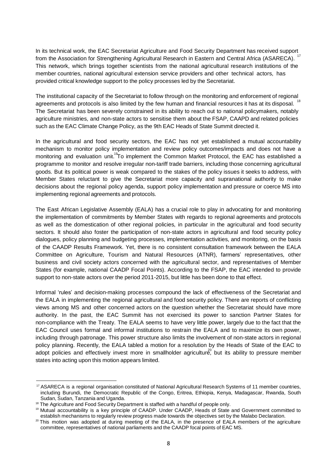17 In its technical work, the EAC Secretariat Agriculture and Food Security Department has received support from the Association for Strengthening Agricultural Research in Eastern and Central Africa (ASARECA). This network, which brings together scientists from the national agricultural research institutions of the member countries, national agricultural extension service providers and other technical actors, has provided critical knowledge support to the policy processes led by the Secretariat.

agreements and protocols is also limited by the few human and financial resources it has at its disposal. <sup>18</sup> The institutional capacity of the Secretariat to follow through on the monitoring and enforcement of regional The Secretariat has been severely constrained in its ability to reach out to national policymakers, notably agriculture ministries, and non-state actors to sensitise them about the FSAP, CAAPD and related policies such as the EAC Climate Change Policy, as the 9th EAC Heads of State Summit directed it.

monitoring and evaluation unit.<sup>19</sup>To implement the Common Market Protocol, the EAC has established a In the agricultural and food security sectors, the EAC has not yet established a mutual accountability mechanism to monitor policy implementation and review policy outcomes/impacts and does not have a programme to monitor and resolve irregular non-tariff trade barriers, including those concerning agricultural goods. But its political power is weak compared to the stakes of the policy issues it seeks to address, with Member States reluctant to give the Secretariat more capacity and supranational authority to make decisions about the regional policy agenda, support policy implementation and pressure or coerce MS into implementing regional agreements and protocols.

The East African Legislative Assembly (EALA) has a crucial role to play in advocating for and monitoring the implementation of commitments by Member States with regards to regional agreements and protocols as well as the domestication of other regional policies, in particular in the agricultural and food security sectors. It should also foster the participation of non-state actors in agricultural and food security policy dialogues, policy planning and budgeting processes, implementation activities, and monitoring, on the basis of the CAADP Results Framework. Yet, there is no consistent consultation framework between the EALA Committee on Agriculture, Tourism and Natural Resources (ATNR), farmers' representatives, other business and civil society actors concerned with the agricultural sector, and representatives of Member States (for example, national CAADP Focal Points). According to the FSAP, the EAC intended to provide support to non-state actors over the period 2011-2015, but little has been done to that effect.

adopt policies and effectively invest more in smallholder agriculture, but its ability to pressure member Informal 'rules' and decision-making processes compound the lack of effectiveness of the Secretariat and the EALA in implementing the regional agricultural and food security policy. There are reports of conflicting views among MS and other concerned actors on the question whether the Secretariat should have more authority. In the past, the EAC Summit has not exercised its power to sanction Partner States for non-compliance with the Treaty. The EALA seems to have very little power, largely due to the fact that the EAC Council uses formal and informal institutions to restrain the EALA and to maximize its own power, including through patronage. This power structure also limits the involvement of non-state actors in regional policy planning. Recently, the EALA tabled a motion for a resolution by the Heads of State of the EAC to states into acting upon this motion appears limited.

<sup>&</sup>lt;sup>17</sup> ASARECA is a regional organisation constituted of National Agricultural Research Systems of 11 member countries, including Burundi, the Democratic Republic of the Congo, Eritrea, Ethiopia, Kenya, Madagascar, Rwanda, South Sudan, Sudan, Tanzania and Uganda.

<sup>&</sup>lt;sup>18</sup> The Agriculture and Food Security Department is staffed with a handful of people only.

<sup>19</sup> Mutual accountability is a key principle of CAADP. Under CAADP, Heads of State and Government committed to establish mechanisms to regularly review progress made towards the objectives set by the Malabo Declaration.

<sup>&</sup>lt;sup>20</sup> This motion was adopted at during meeting of the EALA, in the presence of EALA members of the agriculture committee, representatives of national parliaments and the CAADP focal points of EAC MS.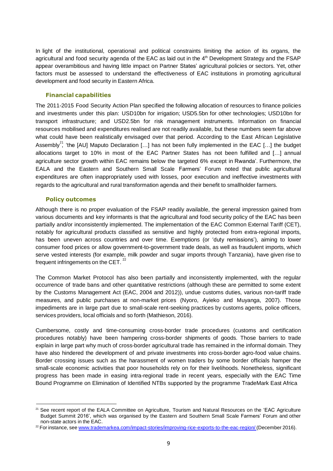In light of the institutional, operational and political constraints limiting the action of its organs, the agricultural and food security agenda of the EAC as laid out in the 4<sup>th</sup> Development Strategy and the FSAP appear overambitious and having little impact on Partner States' agricultural policies or sectors. Yet, other factors must be assessed to understand the effectiveness of EAC institutions in promoting agricultural development and food security in Eastern Africa.

#### **Financial capabilities**

Assembly<sup>21</sup>, 'the [AU] Maputo Declaration [...] has not been fully implemented in the EAC [...] the budget The 2011-2015 Food Security Action Plan specified the following allocation of resources to finance policies and investments under this plan: USD10bn for irrigation; USD5.5bn for other technologies; USD10bn for transport infrastructure; and USD2.5bn for risk management instruments. Information on financial resources mobilised and expenditures realised are not readily available, but these numbers seem far above what could have been realistically envisaged over that period. According to the East African Legislative allocations target to 10% in most of the EAC Partner States has not been fulfilled and […] annual agriculture sector growth within EAC remains below the targeted 6% except in Rwanda'. Furthermore, the EALA and the Eastern and Southern Small Scale Farmers' Forum noted that public agricultural expenditures are often inappropriately used with losses, poor execution and ineffective investments with regards to the agricultural and rural transformation agenda and their benefit to smallholder farmers.

#### **Policy outcomes**

frequent infringements on the CET.  $^{22}$ Although there is no proper evaluation of the FSAP readily available, the general impression gained from various documents and key informants is that the agricultural and food security policy of the EAC has been partially and/or inconsistently implemented. The implementation of the EAC Common External Tariff (CET), notably for agricultural products classified as sensitive and highly protected from extra-regional imports, has been uneven across countries and over time. Exemptions (or 'duty remissions'), aiming to lower consumer food prices or allow government-to-government trade deals, as well as fraudulent imports, which serve vested interests (for example, milk powder and sugar imports through Tanzania), have given rise to

The Common Market Protocol has also been partially and inconsistently implemented, with the regular occurrence of trade bans and other quantitative restrictions (although these are permitted to some extent by the Customs Management Act (EAC, 2004 and 2012)), undue customs duties, various non-tariff trade measures, and public purchases at non-market prices (Nyoro, Ayieko and Muyanga, 2007). Those impediments are in large part due to small-scale rent-seeking practices by customs agents, police officers, services providers, local officials and so forth (Mathieson, 2016).

Cumbersome, costly and time-consuming cross-border trade procedures (customs and certification procedures notably) have been hampering cross-border shipments of goods. Those barriers to trade explain in large part why much of cross-border agricultural trade has remained in the informal domain. They have also hindered the development of and private investments into cross-border agro-food value chains. Border crossing issues such as the harassment of women traders by some border officials hamper the small-scale economic activities that poor households rely on for their livelihoods. Nonetheless, significant progress has been made in easing intra-regional trade in recent years, especially with the EAC Time Bound Programme on Elimination of Identified NTBs supported by the programme TradeMark East Africa

<sup>&</sup>lt;sup>21</sup> See recent report of the EALA Committee on Agriculture, Tourism and Natural Resources on the 'EAC Agriculture Budget Summit 2016', which was organised by the Eastern and Southern Small Scale Farmers' Forum and other non-state actors in the EAC.

<sup>&</sup>lt;sup>22</sup> For instance, see [www.trademarkea.com/impact-stories/improving-rice-exports-to-the-eac-region/](http://www.trademarkea.com/impact-stories/improving-rice-exports-to-the-eac-region/) (December 2016).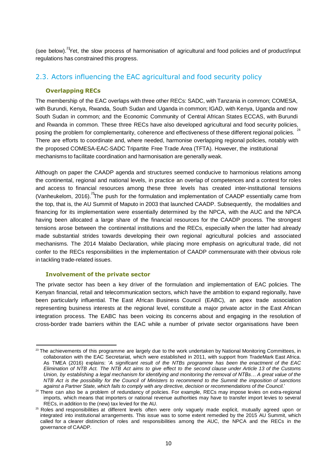(see below).<sup>23</sup>Yet, the slow process of harmonisation of agricultural and food policies and of product/input regulations has constrained this progress.

## <span id="page-9-0"></span>2.3. Actors influencing the EAC agricultural and food security policy

#### **Overlapping RECs**

24 The membership of the EAC overlaps with three other RECs: SADC, with Tanzania in common; COMESA, with Burundi, Kenya, Rwanda, South Sudan and Uganda in common; IGAD, with Kenya, Uganda and now South Sudan in common; and the Economic Community of Central African States ECCAS, with Burundi and Rwanda in common. These three RECs have also developed agricultural and food security policies, posing the problem for complementarity, coherence and effectiveness of these different regional policies. There are efforts to coordinate and, where needed, harmonise overlapping regional policies, notably with the proposed COMESA-EAC-SADC Tripartite Free Trade Area (TFTA). However, the institutional mechanisms to facilitate coordination and harmonisation are generally weak.

(Vanheukelom, 2016). <sup>25</sup>The push for the formulation and implementation of CAADP essentially came from Although on paper the CAADP agenda and structures seemed conducive to harmonious relations among the continental, regional and national levels, in practice an overlap of competences and a contest for roles and access to financial resources among these three levels has created inter-institutional tensions the top, that is, the AU Summit of Maputo in 2003 that launched CAADP. Subsequently, the modalities and financing for its implementation were essentially determined by the NPCA, with the AUC and the NPCA having been allocated a large share of the financial resources for the CAADP process. The strongest tensions arose between the continental institutions and the RECs, especially when the latter had already made substantial strides towards developing their own regional agricultural policies and associated mechanisms. The 2014 Malabo Declaration, while placing more emphasis on agricultural trade, did not confer to the RECs responsibilities in the implementation of CAADP commensurate with their obvious role in tackling trade-related issues.

#### **Involvement of the private sector**

The private sector has been a key driver of the formulation and implementation of EAC policies. The Kenyan financial, retail and telecommunication sectors, which have the ambition to expand regionally, have been particularly influential. The East African Business Council (EABC), an apex trade association representing business interests at the regional level, constitute a major private actor in the East African integration process. The EABC has been voicing its concerns about and engaging in the resolution of cross-border trade barriers within the EAC while a number of private sector organisations have been

<sup>&</sup>lt;sup>23</sup> The achievements of this programme are largely due to the work undertaken by National Monitoring Committees, in collaboration with the EAC Secretariat, which were established in 2011, with support from TradeMark East Africa. As TMEA (2016) explains: '*A significant result of the NTBs programme has been the enactment of the EAC* Elimination of NTB Act. The NTB Act aims to give effect to the second clause under Article 13 of the Customs Union, by establishing a legal mechanism for identifying and monitoring the removal of NTBs... A great value of the NTB Act is the possibility for the Council of Ministers to recommend to the Summit the imposition of sanctions against a Partner State, which fails to comply with any directive, decision or recommendations of the Council.'

<sup>&</sup>lt;sup>24</sup> There can also be a problem of redundancy of policies. For example, RECs may impose levies on extra-regional imports, which means that importers or national revenue authorities may have to transfer import levies to several RECs, in addition to the (new) tax levied for the AU.

<sup>&</sup>lt;sup>25</sup> Roles and responsibilities at different levels often were only vaguely made explicit, mutually agreed upon or integrated into institutional arrangements. This issue was to some extent remedied by the 2015 AU Summit, which called for a clearer distinction of roles and responsibilities among the AUC, the NPCA and the RECs in the governance of CAADP.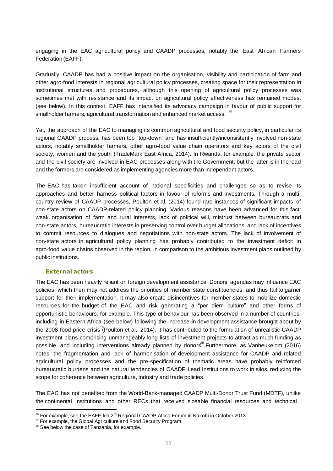engaging in the EAC agricultural policy and CAADP processes, notably the East African Farmers Federation(EAFF).

smallholder farmers, agricultural transformation and enhanced market access.  $^{26}$ Gradually, CAADP has had a positive impact on the organisation, visibility and participation of farm and other agro-food interests in regional agricultural policy processes, creating space for their representation in institutional structures and procedures, although this opening of agricultural policy processes was sometimes met with resistance and its impact on agricultural policy effectiveness has remained modest (see below). In this context, EAFF has intensified its advocacy campaign in favour of public support for

Yet, the approach of the EAC to managing its common agricultural and food security policy, in particular its regional CAADP process, has been too "top-down" and has insufficiently/inconsistently involved non-state actors, notably smallholder farmers, other agro-food value chain operators and key actors of the civil society, women and the youth (TradeMark East Africa, 2014). In Rwanda, for example, the private sector and the civil society are involved in EAC processes along with the Government, but the latter is in the lead and the formers are considered as implementing agencies more than independent actors.

The EAC has taken insufficient account of national specificities and challenges so as to revise its approaches and better harness political factors in favour of reforms and investments. Through a multicountry review of CAADP processes, Poulton et al. (2014) found rare instances of significant impacts of non-state actors on CAADP-related policy planning. Various reasons have been advanced for this fact: weak organisation of farm and rural interests, lack of political will, mistrust between bureaucrats and non-state actors, bureaucratic interests in preserving control over budget allocations, and lack of incentives to commit resources to dialogues and negotiations with non-state actors. The lack of involvement of non-state actors in agricultural policy planning has probably contributed to the investment deficit in agro-food value chains observed in the region, in comparison to the ambitious investment plans outlined by public institutions.

#### **External actors**

the 2008 food price crisis<sup>27</sup>(Poulton et al., 2014). It has contributed to the formulation of unrealistic CAADP possible, and including interventions already planned by donors.<sup>28</sup> Furthermore, as Vanheukelom (2016) The EAC has been heavily reliant on foreign development assistance. Donors' agendas may influence EAC policies, which then may not address the priorities of member state constituencies, and thus fail to garner support for their implementation. It may also create disincentives for member states to mobilize domestic resources for the budget of the EAC and risk generating a "per diem culture" and other forms of opportunistic behaviours, for example. This type of behaviour has been observed in a number of countries, including in Eastern Africa (see below) following the increase in development assistance brought about by investment plans comprising unmanageably long lists of investment projects to attract as much funding as notes, the fragmentation and lack of harmonisation of development assistance for CAADP and related agricultural policy processes and the pre-specification of thematic areas have probably reinforced bureaucratic burdens and the natural tendencies of CAADP Lead Institutions to work in silos, reducing the scope for coherence between agriculture, industry and trade policies.

The EAC has not benefited from the World-Bank-managed CAADP Multi-Donor Trust Fund (MDTF), unlike the continental institutions and other RECs that received sizeable financial resources and technical

 $^{26}$  For example, see the EAFF-led 2<sup>nd</sup> Regional CAADP Africa Forum in Nairobi in October 2013.

<sup>&</sup>lt;sup>27</sup> For example, the Global Agriculture and Food Security Program.

<sup>&</sup>lt;sup>28</sup> See below the case of Tanzania, for example.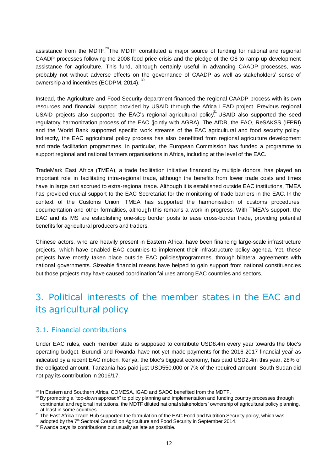assistance from the MDTF.<sup>29</sup>The MDTF constituted a major source of funding for national and regional ownership and incentives (ECDPM, 2014).  $^{30}$ CAADP processes following the 2008 food price crisis and the pledge of the G8 to ramp up development assistance for agriculture. This fund, although certainly useful in advancing CAADP processes, was probably not without adverse effects on the governance of CAADP as well as stakeholders' sense of

USAID projects also supported the EAC's regional agricultural policy.<sup>31</sup> USAID also supported the seed Instead, the Agriculture and Food Security department financed the regional CAADP process with its own resources and financial support provided by USAID through the Africa LEAD project. Previous regional regulatory harmonization process of the EAC (jointly with AGRA). The AfDB, the FAO, ReSAKSS (IFPRI) and the World Bank supported specific work streams of the EAC agricultural and food security policy. Indirectly, the EAC agricultural policy process has also benefitted from regional agriculture development and trade facilitation programmes. In particular, the European Commission has funded a programme to support regional and national farmers organisations in Africa, including at the level of the EAC.

TradeMark East Africa (TMEA), a trade facilitation initiative financed by multiple donors, has played an important role in facilitating intra-regional trade, although the benefits from lower trade costs and times have in large part accrued to extra-regional trade. Although it is established outside EAC institutions, TMEA has provided crucial support to the EAC Secretariat for the monitoring of trade barriers in the EAC. In the context of the Customs Union, TMEA has supported the harmonisation of customs procedures, documentation and other formalities, although this remains a work in progress. With TMEA's support, the EAC and its MS are establishing one-stop border posts to ease cross-border trade, providing potential benefits for agricultural producers and traders.

Chinese actors, who are heavily present in Eastern Africa, have been financing large-scale infrastructure projects, which have enabled EAC countries to implement their infrastructure policy agenda. Yet, these projects have mostly taken place outside EAC policies/programmes, through bilateral agreements with national governments. Sizeable financial means have helped to gain support from national constituencies but those projects may have caused coordination failures among EAC countries and sectors.

# <span id="page-11-0"></span>3. Political interests of the member states in the EAC and its agricultural policy

## <span id="page-11-1"></span>3.1. Financial contributions

operating budget. Burundi and Rwanda have not yet made payments for the 2016-2017 financial ye $\overset{3}{\mathrm{a}}\overset{2}{\mathrm{r}}$  as Under EAC rules, each member state is supposed to contribute USD8.4m every year towards the bloc's indicated by a recent EAC motion. Kenya, the bloc's biggest economy, has paid USD2.4m this year, 28% of the obligated amount. Tanzania has paid just USD550,000 or 7% of the required amount. South Sudan did not pay its contribution in 2016/17.

<sup>&</sup>lt;sup>29</sup> In Eastern and Southern Africa, COMESA, IGAD and SADC benefited from the MDTF.

<sup>30</sup> By promoting a "top-down approach" to policy planning and implementation and funding country processes through continental and regional institutions, the MDTF diluted national stakeholders' ownership of agricultural policy planning, at least in some countries.

<sup>&</sup>lt;sup>31</sup> The East Africa Trade Hub supported the formulation of the EAC Food and Nutrition Security policy, which was adopted by the 7<sup>th</sup> Sectoral Council on Agriculture and Food Security in September 2014.

 $32$  Rwanda pays its contributions but usually as late as possible.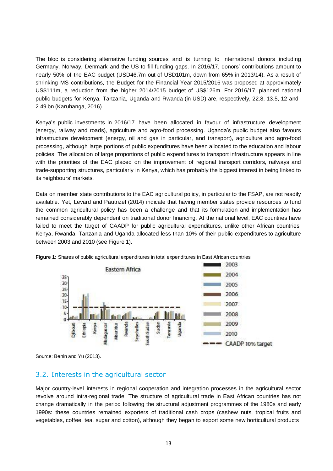The bloc is considering alternative funding sources and is turning to international donors including Germany, Norway, Denmark and the US to fill funding gaps. In 2016/17, donors' contributions amount to nearly 50% of the EAC budget (USD46.7m out of USD101m, down from 65% in 2013/14). As a result of shrinking MS contributions, the Budget for the Financial Year 2015/2016 was proposed at approximately US\$111m, a reduction from the higher 2014/2015 budget of US\$126m. For 2016/17, planned national public budgets for Kenya, Tanzania, Uganda and Rwanda (in USD) are, respectively, 22.8, 13.5, 12 and 2.49 bn (Karuhanga, 2016).

Kenya's public investments in 2016/17 have been allocated in favour of infrastructure development (energy, railway and roads), agriculture and agro-food processing. Uganda's public budget also favours infrastructure development (energy, oil and gas in particular, and transport), agriculture and agro-food processing, although large portions of public expenditures have been allocated to the education and labour policies. The allocation of large proportions of public expenditures to transport infrastructure appears in line with the priorities of the EAC placed on the improvement of regional transport corridors, railways and trade-supporting structures, particularly in Kenya, which has probably the biggest interest in being linked to its neighbours' markets.

Data on member state contributions to the EAC agricultural policy, in particular to the FSAP, are not readily available. Yet, Levard and Pautrizel (2014) indicate that having member states provide resources to fund the common agricultural policy has been a challenge and that its formulation and implementation has remained considerably dependent on traditional donor financing. At the national level, EAC countries have failed to meet the target of CAADP for public agricultural expenditures, unlike other African countries. Kenya, Rwanda, Tanzania and Uganda allocated less than 10% of their public expenditures to agriculture between 2003 and 2010 (see Figure 1).



**Figure 1:** Shares of public agricultural expenditures in total expenditures in East African countries

Source: Benin and Yu (2013).

## <span id="page-12-0"></span>3.2. Interests in the agricultural sector

Major country-level interests in regional cooperation and integration processes in the agricultural sector revolve around intra-regional trade. The structure of agricultural trade in East African countries has not change dramatically in the period following the structural adjustment programmes of the 1980s and early 1990s: these countries remained exporters of traditional cash crops (cashew nuts, tropical fruits and vegetables, coffee, tea, sugar and cotton), although they began to export some new horticultural products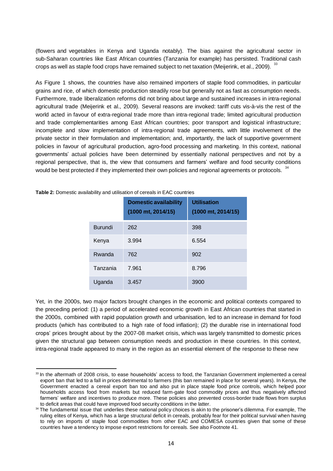crops as well as staple food crops have remained subject to net taxation (Meijerink, et al., 2009).  $^{33}$ (flowers and vegetables in Kenya and Uganda notably). The bias against the agricultural sector in sub-Saharan countries like East African countries (Tanzania for example) has persisted. Traditional cash

would be best protected if they implemented their own policies and regional agreements or protocols.  $34$ As Figure 1 shows, the countries have also remained importers of staple food commodities, in particular grains and rice, of which domestic production steadily rose but generally not as fast as consumption needs. Furthermore, trade liberalization reforms did not bring about large and sustained increases in intra-regional agricultural trade (Meijerink et al., 2009). Several reasons are invoked: tariff cuts vis-à-vis the rest of the world acted in favour of extra-regional trade more than intra-regional trade; limited agricultural production and trade complementarities among East African countries; poor transport and logistical infrastructure; incomplete and slow implementation of intra-regional trade agreements, with little involvement of the private sector in their formulation and implementation; and, importantly, the lack of supportive government policies in favour of agricultural production, agro-food processing and marketing. In this context, national governments' actual policies have been determined by essentially national perspectives and not by a regional perspective, that is, the view that consumers and farmers' welfare and food security conditions

|                | <b>Domestic availability</b><br>(1000 mt, 2014/15) | <b>Utilisation</b><br>$(1000 \text{ mt}, 2014/15)$ |
|----------------|----------------------------------------------------|----------------------------------------------------|
| <b>Burundi</b> | 262                                                | 398                                                |
| Kenya          | 3.994                                              | 6.554                                              |
| Rwanda         | 762                                                | 902                                                |
| Tanzania       | 7.961                                              | 8.796                                              |
| Uganda         | 3.457                                              | 3900                                               |

**Table 2:** Domestic availability and utilisation of cereals in EAC countries

Yet, in the 2000s, two major factors brought changes in the economic and political contexts compared to the preceding period: (1) a period of accelerated economic growth in East African countries that started in the 2000s, combined with rapid population growth and urbanisation, led to an increase in demand for food products (which has contributed to a high rate of food inflation); (2) the durable rise in international food crops' prices brought about by the 2007-08 market crisis, which was largely transmitted to domestic prices given the structural gap between consumption needs and production in these countries. In this context, intra-regional trade appeared to many in the region as an essential element of the response to these new

<sup>33</sup> In the aftermath of 2008 crisis, to ease households' access to food, the Tanzanian Government implemented a cereal export ban that led to a fall in prices detrimental to farmers (this ban remained in place for several years). In Kenya, the Government enacted a cereal export ban too and also put in place staple food price controls, which helped poor households access food from markets but reduced farm-gate food commodity prices and thus negatively affected farmers' welfare and incentives to produce more. These policies also prevented cross-border trade flows from surplus to deficit areas that could have improved food security conditions in the latter.

<sup>34</sup> The fundamental issue that underlies these national policy choices is akin to the prisoner's dilemma. For example, The ruling elites of Kenya, which has a large structural deficit in cereals, probably fear for their political survival when having to rely on imports of staple food commodities from other EAC and COMESA countries given that some of these countries have a tendency to impose export restrictions for cereals. See also Footnote 41.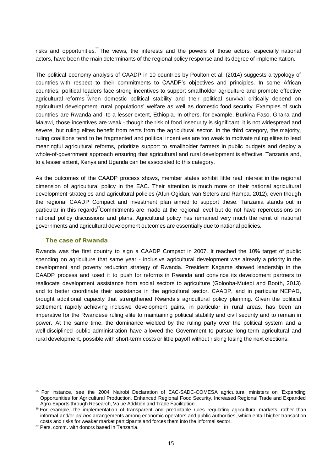risks and opportunities.<sup>35</sup>The views, the interests and the powers of those actors, especially national actors, have been the main determinants of the regional policy response and its degree of implementation.

agricultural reforms <sup>36</sup>when domestic political stability and their political survival critically depend on The political economy analysis of CAADP in 10 countries by Poulton et al. (2014) suggests a typology of countries with respect to their commitments to CAADP's objectives and principles. In some African countries, political leaders face strong incentives to support smallholder agriculture and promote effective agricultural development, rural populations' welfare as well as domestic food security. Examples of such countries are Rwanda and, to a lesser extent, Ethiopia. In others, for example, Burkina Faso, Ghana and Malawi, those incentives are weak - though the risk of food insecurity is significant, it is not widespread and severe, but ruling elites benefit from rents from the agricultural sector. In the third category, the majority, ruling coalitions tend to be fragmented and political incentives are too weak to motivate ruling elites to lead meaningful agricultural reforms, prioritize support to smallholder farmers in public budgets and deploy a whole-of-government approach ensuring that agricultural and rural development is effective. Tanzania and, to a lesser extent, Kenya and Uganda can be associated to this category.

particular in this regards<sup>37</sup>Commitments are made at the regional level but do not have repercussions on As the outcomes of the CAADP process shows, member states exhibit little real interest in the regional dimension of agricultural policy in the EAC. Their attention is much more on their national agricultural development strategies and agricultural policies (Afun-Ogidan, van Seters and Rampa, 2012), even though the regional CAADP Compact and investment plan aimed to support these. Tanzania stands out in national policy discussions and plans. Agricultural policy has remained very much the remit of national governments and agricultural development outcomes are essentially due to national policies.

#### **The case of Rwanda**

Rwanda was the first country to sign a CAADP Compact in 2007. It reached the 10% target of public spending on agriculture that same year - inclusive agricultural development was already a priority in the development and poverty reduction strategy of Rwanda. President Kagame showed leadership in the CAADP process and used it to push for reforms in Rwanda and convince its development partners to reallocate development assistance from social sectors to agriculture (Golooba-Mutebi and Booth, 2013) and to better coordinate their assistance in the agricultural sector. CAADP, and in particular NEPAD, brought additional capacity that strengthened Rwanda's agricultural policy planning. Given the political settlement, rapidly achieving inclusive development gains, in particular in rural areas, has been an imperative for the Rwandese ruling elite to maintaining political stability and civil security and to remain in power. At the same time, the dominance wielded by the ruling party over the political system and a well-disciplined public administration have allowed the Government to pursue long-term agricultural and rural development, possible with short-term costs or little payoff without risking losing the next elections.

<sup>35</sup> For instance, see the 2004 Nairobi Declaration of EAC-SADC-COMESA agricultural ministers on 'Expanding Opportunities for Agricultural Production, Enhanced Regional Food Security, Increased Regional Trade and Expanded Agro-Exports through Research, Value Addition and Trade Facilitation'.

<sup>&</sup>lt;sup>36</sup> For example, the implementation of transparent and predictable rules regulating agricultural markets, rather than informal and/or *ad hoc* arrangements among economic operators and public authorities, which entail higher transaction costs and risks for weaker market participants and forces them into the informal sector.

<sup>&</sup>lt;sup>37</sup> Pers. comm. with donors based in Tanzania.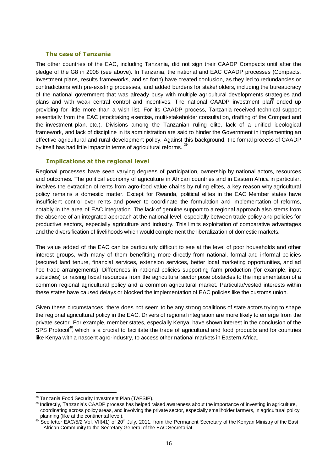#### **The case of Tanzania**

plans and with weak central control and incentives. The national CAADP investment plan ended up by itself has had little impact in terms of agricultural reforms.  $^{39}$ The other countries of the EAC, including Tanzania, did not sign their CAADP Compacts until after the pledge of the G8 in 2008 (see above). In Tanzania, the national and EAC CAADP processes (Compacts, investment plans, results frameworks, and so forth) have created confusion, as they led to redundancies or contradictions with pre-existing processes, and added burdens for stakeholders, including the bureaucracy of the national government that was already busy with multiple agricultural developments strategies and providing for little more than a wish list. For its CAADP process, Tanzania received technical support essentially from the EAC (stocktaking exercise, multi-stakeholder consultation, drafting of the Compact and the investment plan, etc.). Divisions among the Tanzanian ruling elite, lack of a unified ideological framework, and lack of discipline in its administration are said to hinder the Government in implementing an effective agricultural and rural development policy. Against this background, the formal process of CAADP

#### **Implications at the regional level**

Regional processes have seen varying degrees of participation, ownership by national actors, resources and outcomes. The political economy of agriculture in African countries and in Eastern Africa in particular, involves the extraction of rents from agro-food value chains by ruling elites, a key reason why agricultural policy remains a domestic matter. Except for Rwanda, political elites in the EAC Member states have insufficient control over rents and power to coordinate the formulation and implementation of reforms, notably in the area of EAC integration. The lack of genuine support to a regional approach also stems from the absence of an integrated approach at the national level, especially between trade policy and policies for productive sectors, especially agriculture and industry. This limits exploitation of comparative advantages and the diversification of livelihoods which would complement the liberalization of domestic markets.

The value added of the EAC can be particularly difficult to see at the level of poor households and other interest groups, with many of them benefitting more directly from national, formal and informal policies (secured land tenure, financial services, extension services, better local marketing opportunities, and ad hoc trade arrangements). Differences in national policies supporting farm production (for example, input subsidies) or raising fiscal resources from the agricultural sector pose obstacles to the implementation of a common regional agricultural policy and a common agricultural market. Particular/vested interests within these states have caused delays or blocked the implementation of EAC policies like the customs union.

SPS Protocol<sup>40</sup>, which is a crucial to facilitate the trade of agricultural and food products and for countries Given these circumstances, there does not seem to be any strong coalitions of state actors trying to shape the regional agricultural policy in the EAC. Drivers of regional integration are more likely to emerge from the private sector. For example, member states, especially Kenya, have shown interest in the conclusion of the like Kenya with a nascent agro-industry, to access other national markets in Eastern Africa.

<sup>&</sup>lt;sup>38</sup> Tanzania Food Security Investment Plan (TAFSIP).

<sup>39</sup> Indirectly, Tanzania's CAADP process has helped raised awareness about the importance of investing in agriculture, coordinating across policy areas, and involving the private sector, especially smallholder farmers, in agricultural policy planning (like at the continental level).

 $40$  See letter EAC/5/2 Vol. VII(41) of 20<sup>th</sup> July, 2011, from the Permanent Secretary of the Kenyan Ministry of the East African Community to the Secretary General of the EAC Secretariat.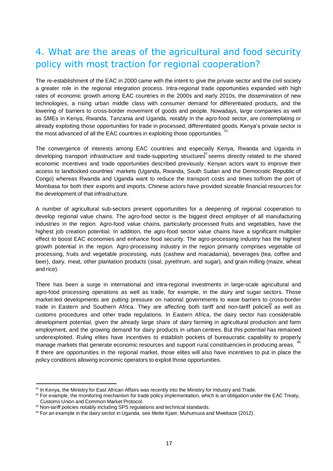# <span id="page-16-0"></span>4. What are the areas of the agricultural and food security policy with most traction for regional cooperation?

41 The re-establishment of the EAC in 2000 came with the intent to give the private sector and the civil society a greater role in the regional integration process. Intra-regional trade opportunities expanded with high rates of economic growth among EAC countries in the 2000s and early 2010s, the dissemination of new technologies, a rising urban middle class with consumer demand for differentiated products, and the lowering of barriers to cross-border movement of goods and people. Nowadays, large companies as well as SMEs in Kenya, Rwanda, Tanzania and Uganda, notably in the agro-food sector, are contemplating or already exploiting those opportunities for trade in processed, differentiated goods. Kenya's private sector is the most advanced of all the EAC countries in exploiting those opportunities.

developing transport infrastructure and trade-supporting structures<sup>42</sup> seems directly related to the shared The convergence of interests among EAC countries and especially Kenya, Rwanda and Uganda in economic incentives and trade opportunities described previously. Kenyan actors want to improve their access to landlocked countries' markets (Uganda, Rwanda, South Sudan and the Democratic Republic of Congo) whereas Rwanda and Uganda want to reduce the transport costs and times to/from the port of Mombasa for both their exports and imports. Chinese actors have provided sizeable financial resources for the development of that infrastructure.

A number of agricultural sub-sectors present opportunities for a deepening of regional cooperation to develop regional value chains. The agro-food sector is the biggest direct employer of all manufacturing industries in the region. Agro-food value chains, particularly processed fruits and vegetables, have the highest job creation potential. In addition, the agro-food sector value chains have a significant multiplier effect to boost EAC economies and enhance food security. The agro-processing industry has the highest growth potential in the region. Agro-processing industry in the region primarily comprises vegetable oil processing, fruits and vegetable processing, nuts (cashew and macadamia), beverages (tea, coffee and beer), dairy, meat, other plantation products (sisal, pyrethrum, and sugar), and grain milling (maize, wheat and rice).

trade in Eastern and Southern Africa. They are affecting both tariff and non-tariff policies as well as 44 There has been a surge in international and intra-regional investments in large-scale agricultural and agro-food processing operations as well as trade, for example, in the dairy and sugar sectors. Those market-led developments are putting pressure on national governments to ease barriers to cross-border customs procedures and other trade regulations. In Eastern Africa, the dairy sector has considerable development potential, given the already large share of dairy farming in agricultural production and farm employment, and the growing demand for dairy products in urban centres. But this potential has remained underexploited. Ruling elites have incentives to establish pockets of bureaucratic capability to properly manage markets that generate economic resources and support rural constituencies in producing areas. If there are opportunities in the regional market, those elites will also have incentives to put in place the policy conditions allowing economic operators to exploit those opportunities.

<sup>&</sup>lt;sup>41</sup> In Kenya, the Ministry for East African Affairs was recently into the Ministry for Industry and Trade.

 $42$  For example, the monitoring mechanism for trade policy implementation, which is an obligation under the EAC Treaty, Customs Union and Common Market Protocol.

<sup>43</sup> Non-tariff policies notably including SPS regulations and technical standards.

<sup>44</sup> For an example in the dairy sector in Uganda, see Mette Kjaer, Muhumuza and Mwebaze (2012).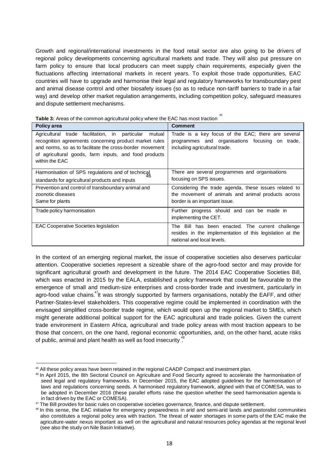Growth and regional/international investments in the food retail sector are also going to be drivers of regional policy developments concerning agricultural markets and trade. They will also put pressure on farm policy to ensure that local producers can meet supply chain requirements, especially given the fluctuations affecting international markets in recent years. To exploit those trade opportunities, EAC countries will have to upgrade and harmonise their legal and regulatory frameworks for transboundary pest and animal disease control and other biosafety issues (so as to reduce non-tariff barriers to trade in a fair way) and develop other market regulation arrangements, including competition policy, safeguard measures and dispute settlement mechanisms.

| Policy area                                                             | <b>Comment</b>                                           |
|-------------------------------------------------------------------------|----------------------------------------------------------|
| Agricultural trade facilitation, in particular<br>mutual                | Trade is a key focus of the EAC; there are several       |
| recognition agreements concerning product market rules                  | programmes and organisations focusing on trade,          |
| and norms, so as to facilitate the cross-border movement                | including agricultural trade.                            |
| of agricultural goods, farm inputs, and food products<br>within the EAC |                                                          |
|                                                                         |                                                          |
| Harmonisation of SPS regulations and of technical                       | There are several programmes and organisations           |
| standards for agricultural products and inputs                          | focusing on SPS issues.                                  |
| Prevention and control of transboundary animal and                      | Considering the trade agenda, these issues related to    |
| zoonotic diseases                                                       | the movement of animals and animal products across       |
| Same for plants                                                         | border is an important issue.                            |
| Trade policy harmonisation                                              | Further progress should and can be made in               |
|                                                                         | implementing the CET.                                    |
| <b>EAC Cooperative Societies legislation</b>                            | The Bill has been enacted. The current challenge         |
|                                                                         | resides in the implementation of this legislation at the |
|                                                                         | national and local levels.                               |

45 **Table 3:** Areas of the common agricultural policy where the EAC has most traction

agro-food value chains.<sup>47</sup>lt was strongly supported by farmers organisations, notably the EAFF, and other of public, animal and plant health as well as food insecurity  $48^{\circ}$ In the context of an emerging regional market, the issue of cooperative societies also deserves particular attention. Cooperative societies represent a sizeable share of the agro-food sector and may provide for significant agricultural growth and development in the future. The 2014 EAC Cooperative Societies Bill, which was enacted in 2015 by the EALA, established a policy framework that could be favourable to the emergence of small and medium-size enterprises and cross-border trade and investment, particularly in Partner-States-level stakeholders. This cooperative regime could be implemented in coordination with the envisaged simplified cross-border trade regime, which would open up the regional market to SMEs, which might generate additional political support for the EAC agricultural and trade policies. Given the current trade environment in Eastern Africa, agricultural and trade policy areas with most traction appears to be those that concern, on the one hand, regional economic opportunities, and, on the other hand, acute risks

<sup>&</sup>lt;sup>45</sup> All these policy areas have been retained in the regional CAADP Compact and investment plan.

<sup>46</sup> In April 2015, the 8th Sectoral Council on Agriculture and Food Security agreed to accelerate the harmonisation of seed legal and regulatory frameworks. In December 2015, the EAC adopted guidelines for the harmonisation of laws and regulations concerning seeds. A harmonised regulatory framework, aligned with that of COMESA, was to be adopted in December 2016 (these parallel efforts raise the question whether the seed harmonisation agenda is in fact driven by the EAC or COMESA).

<sup>&</sup>lt;sup>47</sup> The Bill provides for basic rules on cooperative societies governance, finance, and dispute settlement.

<sup>&</sup>lt;sup>48</sup> In this sense, the EAC initiative for emergency preparedness in arid and semi-arid lands and pastoralist communities also constitutes a regional policy area with traction. The threat of water shortages in some parts of the EAC make the agriculture-water nexus important as well on the agricultural and natural resources policy agendas at the regional level (see also the study on Nile Basin Initiative).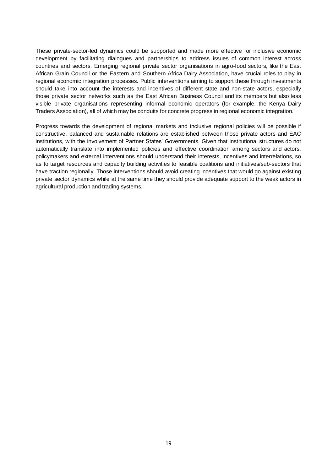These private-sector-led dynamics could be supported and made more effective for inclusive economic development by facilitating dialogues and partnerships to address issues of common interest across countries and sectors. Emerging regional private sector organisations in agro-food sectors, like the East African Grain Council or the Eastern and Southern Africa Dairy Association, have crucial roles to play in regional economic integration processes. Public interventions aiming to support these through investments should take into account the interests and incentives of different state and non-state actors, especially those private sector networks such as the East African Business Council and its members but also less visible private organisations representing informal economic operators (for example, the Kenya Dairy Traders Association), all of which may be conduits for concrete progress in regional economic integration.

Progress towards the development of regional markets and inclusive regional policies will be possible if constructive, balanced and sustainable relations are established between those private actors and EAC institutions, with the involvement of Partner States' Governments. Given that institutional structures do not automatically translate into implemented policies and effective coordination among sectors and actors, policymakers and external interventions should understand their interests, incentives and interrelations, so as to target resources and capacity building activities to feasible coalitions and initiatives/sub-sectors that have traction regionally. Those interventions should avoid creating incentives that would go against existing private sector dynamics while at the same time they should provide adequate support to the weak actors in agricultural production and trading systems.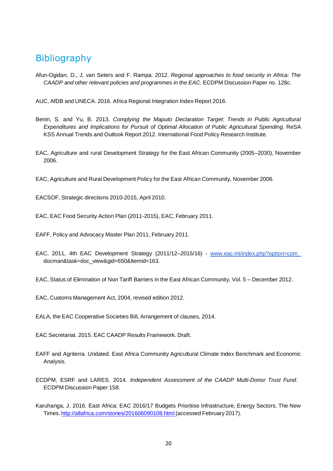# <span id="page-19-0"></span>**Bibliography**

Afun-Ogidan, D., J. van Seters and F. Rampa. 2012. *Regional approaches to food security in Africa: The CAADP and other relevant policies and programmes in the EAC*. ECDPM Discussion Paper no. 128c.

AUC, AfDB and UNECA. 2016. Africa Regional Integration Index Report 2016.

- Benin, S. and Yu, B. 2013. *Complying the Maputo Declaration Target: Trends in Public Agricultural Expenditures and Implications for Pursuit of Optimal Allocation of Public Agricultural Spending.* ReSA KSS Annual Trends and Outlook Report 2012. International Food Policy Research Institute.
- EAC, Agriculture and rural Development Strategy for the East African Community (2005–2030), November 2006.

EAC, Agriculture and Rural Development Policy for the East African Community, November 2006.

EACSOF, Strategic directions 2010-2015, April 2010.

EAC, EAC Food Security Action Plan (2011-2015), EAC, February 2011.

- EAFF, Policy and Advocacy Master Plan 2011, February 2011.
- EAC, 2011, 4th EAC Development Strategy (2011/12-2015/16) www.eac.int/index.php?option=com docman&task=doc\_view&gid=650&Itemid=163.

EAC, Status of Elimination of Non Tariff Barriers in the East African Community, Vol. 5 – December 2012.

EAC, Customs Management Act, 2004, revised edition 2012.

EALA, the EAC Cooperative Societies Bill, Arrangement of clauses, 2014.

EAC Secretariat. 2015. EAC CAADP Results Framework. Draft.

- EAFF and Agriterra. Undated. East Africa Community Agricultural Climate Index Benchmark and Economic Analysis.
- ECDPM, ESRF and LARES. 2014. *Independent Assessment of the CAADP Multi-Donor Trust Fund*. ECDPM Discussion Paper 158.
- Karuhanga, J. 2016. East Africa: EAC 2016/17 Budgets Prioritise Infrastructure, Energy Sectors. The New Times. http://allafrica.com/stories/201606090108.html (accessed February 2017).